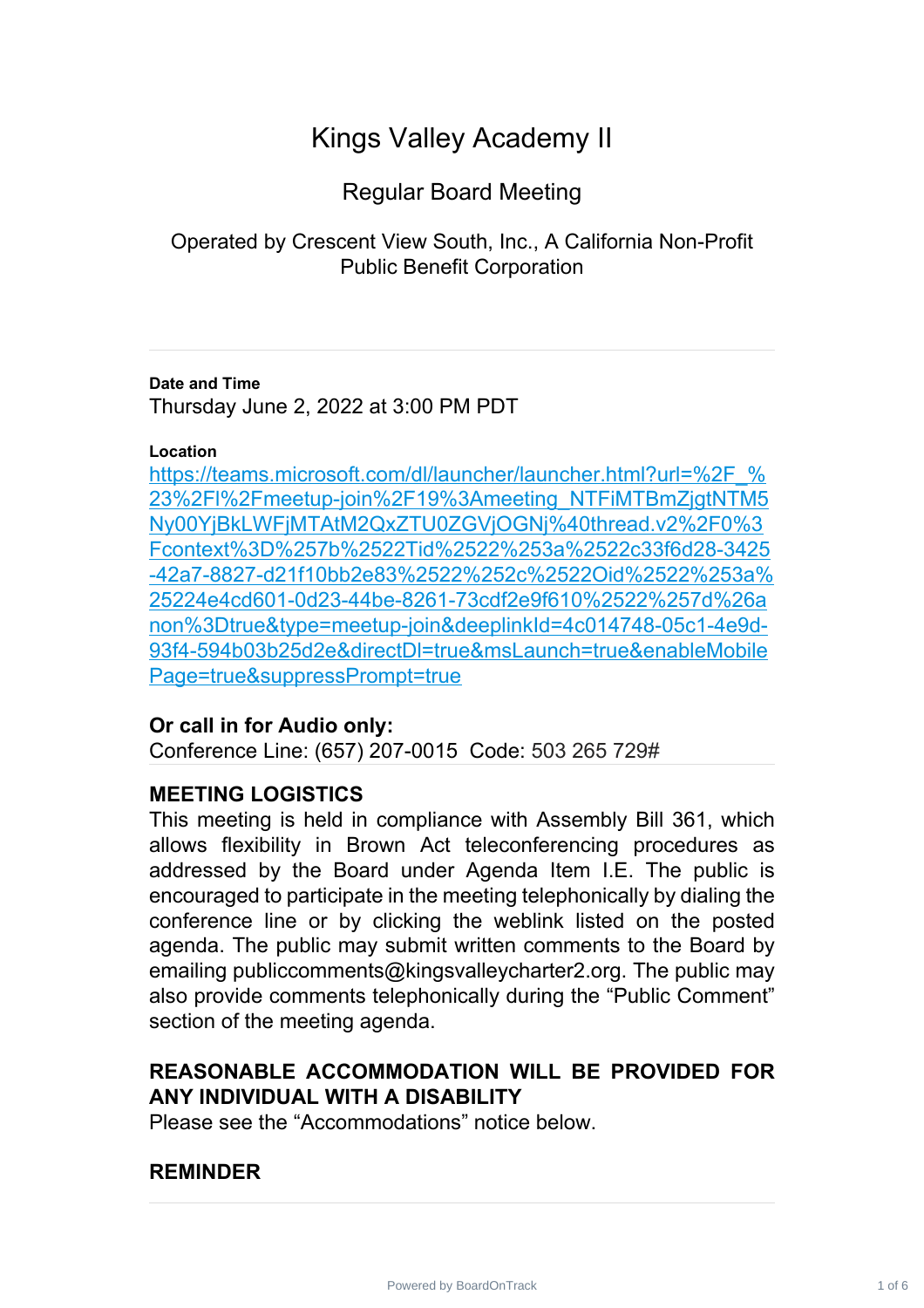# Kings Valley Academy II

# Regular Board Meeting

Operated by Crescent View South, Inc., A California Non-Profit Public Benefit Corporation

### **Date and Time**

Thursday June 2, 2022 at 3:00 PM PDT

### **Location**

[https://teams.microsoft.com/dl/launcher/launcher.html?url=%2F\\_%](https://teams.microsoft.com/dl/launcher/launcher.html?url=%2F_%23%2Fl%2Fmeetup-join%2F19%3Ameeting_NTFiMTBmZjgtNTM5Ny00YjBkLWFjMTAtM2QxZTU0ZGVjOGNj%40thread.v2%2F0%3Fcontext%3D%257b%2522Tid%2522%253a%2522c33f6d28-3425-42a7-8827-d21f10bb2e83%2522%252c%2522Oid%2522%253a%25224e4cd601-0d23-44be-8261-73cdf2e9f610%2522%257d%26anon%3Dtrue&type=meetup-join&deeplinkId=4c014748-05c1-4e9d-93f4-594b03b25d2e&directDl=true&msLaunch=true&enableMobilePage=true&suppressPrompt=true) 23%2Fl%2Fmeetup-join%2F19%3Ameeting\_NTFiMTBmZjgtNTM5 [Ny00YjBkLWFjMTAtM2QxZTU0ZGVjOGNj%40thread.v2%2F0%3](https://teams.microsoft.com/dl/launcher/launcher.html?url=%2F_%23%2Fl%2Fmeetup-join%2F19%3Ameeting_NTFiMTBmZjgtNTM5Ny00YjBkLWFjMTAtM2QxZTU0ZGVjOGNj%40thread.v2%2F0%3Fcontext%3D%257b%2522Tid%2522%253a%2522c33f6d28-3425-42a7-8827-d21f10bb2e83%2522%252c%2522Oid%2522%253a%25224e4cd601-0d23-44be-8261-73cdf2e9f610%2522%257d%26anon%3Dtrue&type=meetup-join&deeplinkId=4c014748-05c1-4e9d-93f4-594b03b25d2e&directDl=true&msLaunch=true&enableMobilePage=true&suppressPrompt=true) Fcontext%3D%257b%2522Tid%2522%253a%2522c33f6d28-3425 [-42a7-8827-d21f10bb2e83%2522%252c%2522Oid%2522%253a%](https://teams.microsoft.com/dl/launcher/launcher.html?url=%2F_%23%2Fl%2Fmeetup-join%2F19%3Ameeting_NTFiMTBmZjgtNTM5Ny00YjBkLWFjMTAtM2QxZTU0ZGVjOGNj%40thread.v2%2F0%3Fcontext%3D%257b%2522Tid%2522%253a%2522c33f6d28-3425-42a7-8827-d21f10bb2e83%2522%252c%2522Oid%2522%253a%25224e4cd601-0d23-44be-8261-73cdf2e9f610%2522%257d%26anon%3Dtrue&type=meetup-join&deeplinkId=4c014748-05c1-4e9d-93f4-594b03b25d2e&directDl=true&msLaunch=true&enableMobilePage=true&suppressPrompt=true) 25224e4cd601-0d23-44be-8261-73cdf2e9f610%2522%257d%26a [non%3Dtrue&type=meetup-join&deeplinkId=4c014748-05c1-4e9d-](https://teams.microsoft.com/dl/launcher/launcher.html?url=%2F_%23%2Fl%2Fmeetup-join%2F19%3Ameeting_NTFiMTBmZjgtNTM5Ny00YjBkLWFjMTAtM2QxZTU0ZGVjOGNj%40thread.v2%2F0%3Fcontext%3D%257b%2522Tid%2522%253a%2522c33f6d28-3425-42a7-8827-d21f10bb2e83%2522%252c%2522Oid%2522%253a%25224e4cd601-0d23-44be-8261-73cdf2e9f610%2522%257d%26anon%3Dtrue&type=meetup-join&deeplinkId=4c014748-05c1-4e9d-93f4-594b03b25d2e&directDl=true&msLaunch=true&enableMobilePage=true&suppressPrompt=true)93f4-594b03b25d2e&directDl=true&msLaunch=true&enableMobile [Page=true&suppressPrompt=true](https://teams.microsoft.com/dl/launcher/launcher.html?url=%2F_%23%2Fl%2Fmeetup-join%2F19%3Ameeting_NTFiMTBmZjgtNTM5Ny00YjBkLWFjMTAtM2QxZTU0ZGVjOGNj%40thread.v2%2F0%3Fcontext%3D%257b%2522Tid%2522%253a%2522c33f6d28-3425-42a7-8827-d21f10bb2e83%2522%252c%2522Oid%2522%253a%25224e4cd601-0d23-44be-8261-73cdf2e9f610%2522%257d%26anon%3Dtrue&type=meetup-join&deeplinkId=4c014748-05c1-4e9d-93f4-594b03b25d2e&directDl=true&msLaunch=true&enableMobilePage=true&suppressPrompt=true)

# **Or call in for Audio only:**

Conference Line: (657) 207-0015 Code: 503 265 729#

# **MEETING LOGISTICS**

This meeting is held in compliance with Assembly Bill 361, which allows flexibility in Brown Act teleconferencing procedures as addressed by the Board under Agenda Item I.E. The public is encouraged to participate in the meeting telephonically by dialing the conference line or by clicking the weblink listed on the posted agenda. The public may submit written comments to the Board by emailing publiccomments@kingsvalleycharter2.org. The public may also provide comments telephonically during the "Public Comment" section of the meeting agenda.

# **REASONABLE ACCOMMODATION WILL BE PROVIDED FOR ANY INDIVIDUAL WITH A DISABILITY**

Please see the "Accommodations" notice below.

# **REMINDER**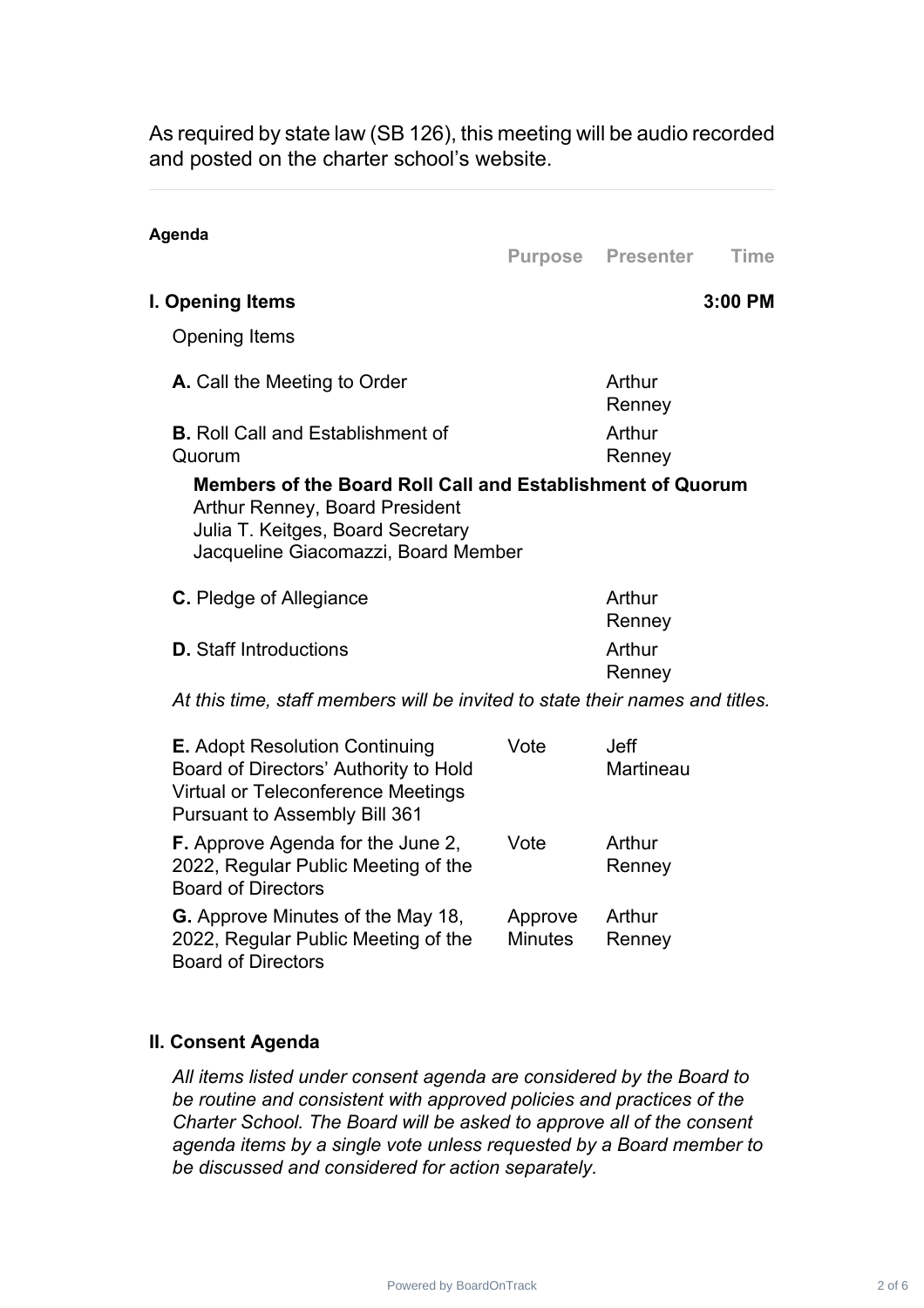As required by state law (SB 126), this meeting will be audio recorded and posted on the charter school's website.

#### **Agenda**

**Purpose Presenter Time**

## **I. Opening Items 3:00 PM**

Opening Items

| A. Call the Meeting to Order                       | Arthur           |
|----------------------------------------------------|------------------|
|                                                    | Renney           |
| <b>B.</b> Roll Call and Establishment of<br>Quorum | Arthur<br>Renney |

**Members of the Board Roll Call and Establishment of Quorum** Arthur Renney, Board President Julia T. Keitges, Board Secretary Jacqueline Giacomazzi, Board Member

| <b>C.</b> Pledge of Allegiance | Arthur<br>Renney |
|--------------------------------|------------------|
| <b>D.</b> Staff Introductions  | Arthur<br>Renney |

*At this time, staff members will be invited to state their names and titles.*

| <b>E.</b> Adopt Resolution Continuing<br>Board of Directors' Authority to Hold<br><b>Virtual or Teleconference Meetings</b><br><b>Pursuant to Assembly Bill 361</b> | Vote                      | <b>Jeff</b><br>Martineau |
|---------------------------------------------------------------------------------------------------------------------------------------------------------------------|---------------------------|--------------------------|
| <b>F.</b> Approve Agenda for the June 2,<br>2022, Regular Public Meeting of the<br><b>Board of Directors</b>                                                        | Vote                      | Arthur<br>Renney         |
| <b>G.</b> Approve Minutes of the May 18,<br>2022, Regular Public Meeting of the<br><b>Board of Directors</b>                                                        | Approve<br><b>Minutes</b> | Arthur<br>Renney         |

### **II. Consent Agenda**

*All items listed under consent agenda are considered by the Board to be routine and consistent with approved policies and practices of the Charter School. The Board will be asked to approve all of the consent agenda items by a single vote unless requested by a Board member to be discussed and considered for action separately.*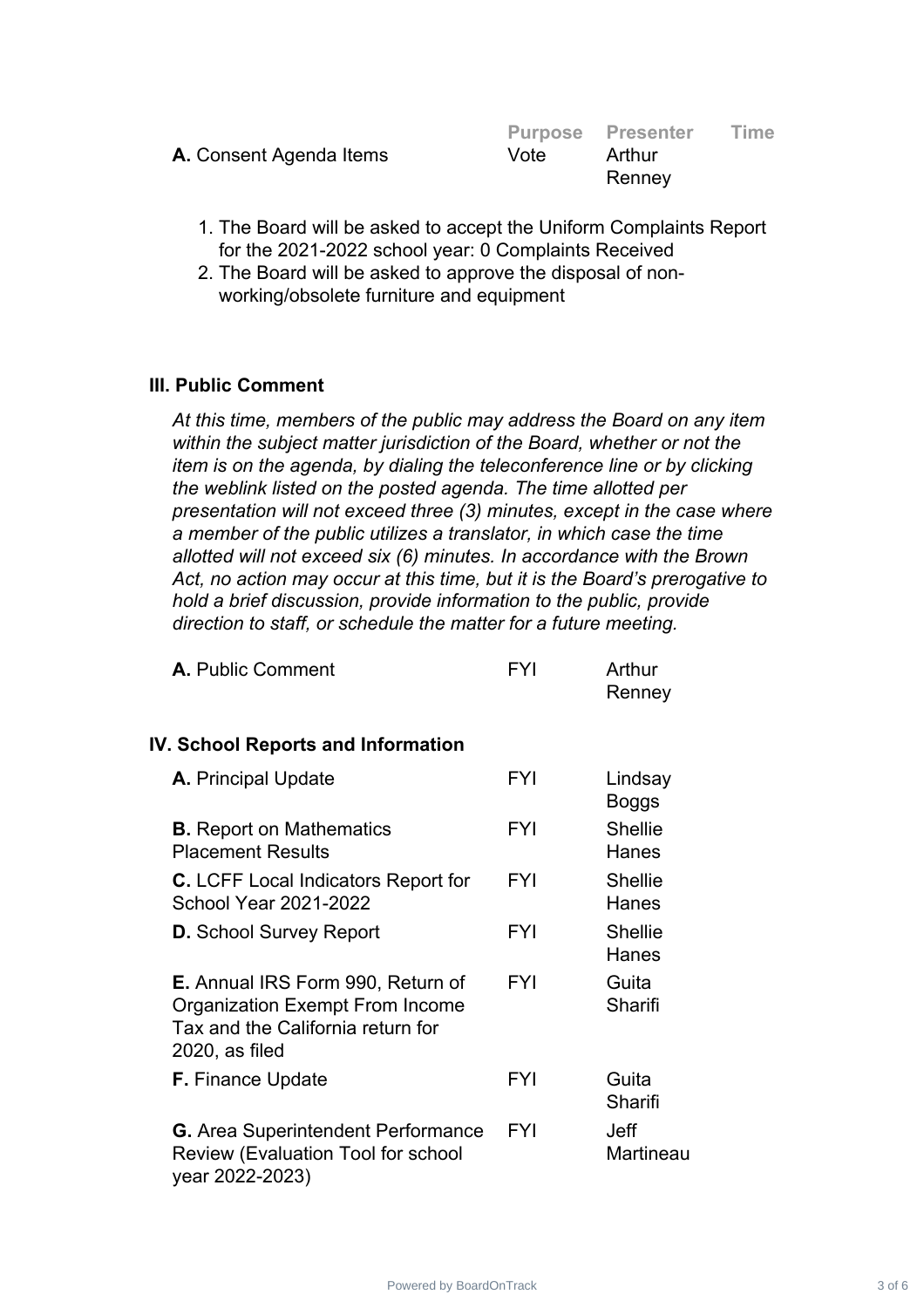|                                |      | <b>Purpose Presenter</b> | Time |
|--------------------------------|------|--------------------------|------|
| <b>A.</b> Consent Agenda Items | Vote | Arthur                   |      |
|                                |      | Renney                   |      |

- 1. The Board will be asked to accept the Uniform Complaints Report for the 2021-2022 school year: 0 Complaints Received
- 2. The Board will be asked to approve the disposal of nonworking/obsolete furniture and equipment

### **III. Public Comment**

*At this time, members of the public may address the Board on any item within the subject matter jurisdiction of the Board, whether or not the item is on the agenda, by dialing the teleconference line or by clicking the weblink listed on the posted agenda. The time allotted per presentation will not exceed three (3) minutes, except in the case where a member of the public utilizes a translator, in which case the time allotted will not exceed six (6) minutes. In accordance with the Brown Act, no action may occur at this time, but it is the Board's prerogative to hold a brief discussion, provide information to the public, provide direction to staff, or schedule the matter for a future meeting.*

| <b>A. Public Comment</b> | FYI | Arthur |
|--------------------------|-----|--------|
|                          |     | Renney |

### **IV. School Reports and Information**

| <b>A.</b> Principal Update                                                                                                                | <b>FYI</b> | Lindsay<br><b>Boggs</b> |
|-------------------------------------------------------------------------------------------------------------------------------------------|------------|-------------------------|
| <b>B.</b> Report on Mathematics<br><b>Placement Results</b>                                                                               | <b>FYI</b> | <b>Shellie</b><br>Hanes |
| <b>C.</b> LCFF Local Indicators Report for<br><b>School Year 2021-2022</b>                                                                | <b>FYI</b> | <b>Shellie</b><br>Hanes |
| <b>D.</b> School Survey Report                                                                                                            | FYI        | <b>Shellie</b><br>Hanes |
| <b>E.</b> Annual IRS Form 990, Return of<br><b>Organization Exempt From Income</b><br>Tax and the California return for<br>2020, as filed | <b>FYI</b> | Guita<br>Sharifi        |
| <b>F.</b> Finance Update                                                                                                                  | <b>FYI</b> | Guita<br>Sharifi        |
| <b>G.</b> Area Superintendent Performance<br><b>Review (Evaluation Tool for school</b><br>year 2022-2023)                                 | FYI        | Jeff<br>Martineau       |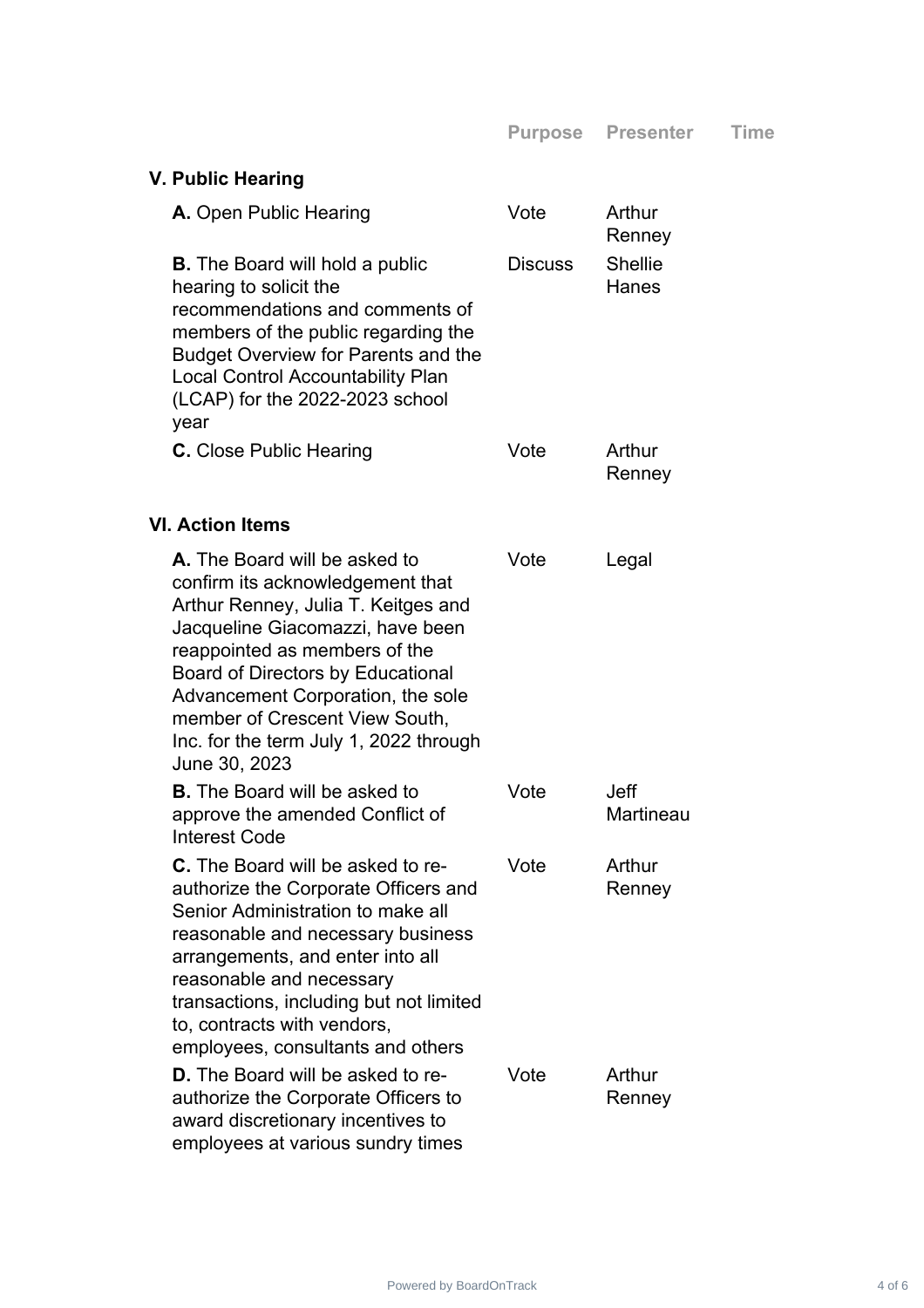| V. Public Hearing                                                                                                                                                                                                                                                                                                                                                  |                |                          |
|--------------------------------------------------------------------------------------------------------------------------------------------------------------------------------------------------------------------------------------------------------------------------------------------------------------------------------------------------------------------|----------------|--------------------------|
| A. Open Public Hearing                                                                                                                                                                                                                                                                                                                                             | Vote           | Arthur<br>Renney         |
| <b>B.</b> The Board will hold a public<br>hearing to solicit the<br>recommendations and comments of<br>members of the public regarding the<br><b>Budget Overview for Parents and the</b><br><b>Local Control Accountability Plan</b><br>(LCAP) for the 2022-2023 school<br>year                                                                                    | <b>Discuss</b> | <b>Shellie</b><br>Hanes  |
| <b>C.</b> Close Public Hearing                                                                                                                                                                                                                                                                                                                                     | Vote           | Arthur<br>Renney         |
| <b>VI. Action Items</b>                                                                                                                                                                                                                                                                                                                                            |                |                          |
| <b>A.</b> The Board will be asked to<br>confirm its acknowledgement that<br>Arthur Renney, Julia T. Keitges and<br>Jacqueline Giacomazzi, have been<br>reappointed as members of the<br><b>Board of Directors by Educational</b><br>Advancement Corporation, the sole<br>member of Crescent View South,<br>Inc. for the term July 1, 2022 through<br>June 30, 2023 | Vote           | Legal                    |
| <b>B.</b> The Board will be asked to<br>approve the amended Conflict of<br><b>Interest Code</b>                                                                                                                                                                                                                                                                    | Vote           | <b>Jeff</b><br>Martineau |
| <b>C.</b> The Board will be asked to re-<br>authorize the Corporate Officers and<br>Senior Administration to make all<br>reasonable and necessary business<br>arrangements, and enter into all<br>reasonable and necessary<br>transactions, including but not limited<br>to, contracts with vendors,<br>employees, consultants and others                          | Vote           | Arthur<br>Renney         |
| <b>D.</b> The Board will be asked to re-<br>authorize the Corporate Officers to<br>award discretionary incentives to<br>employees at various sundry times                                                                                                                                                                                                          | Vote           | Arthur<br>Renney         |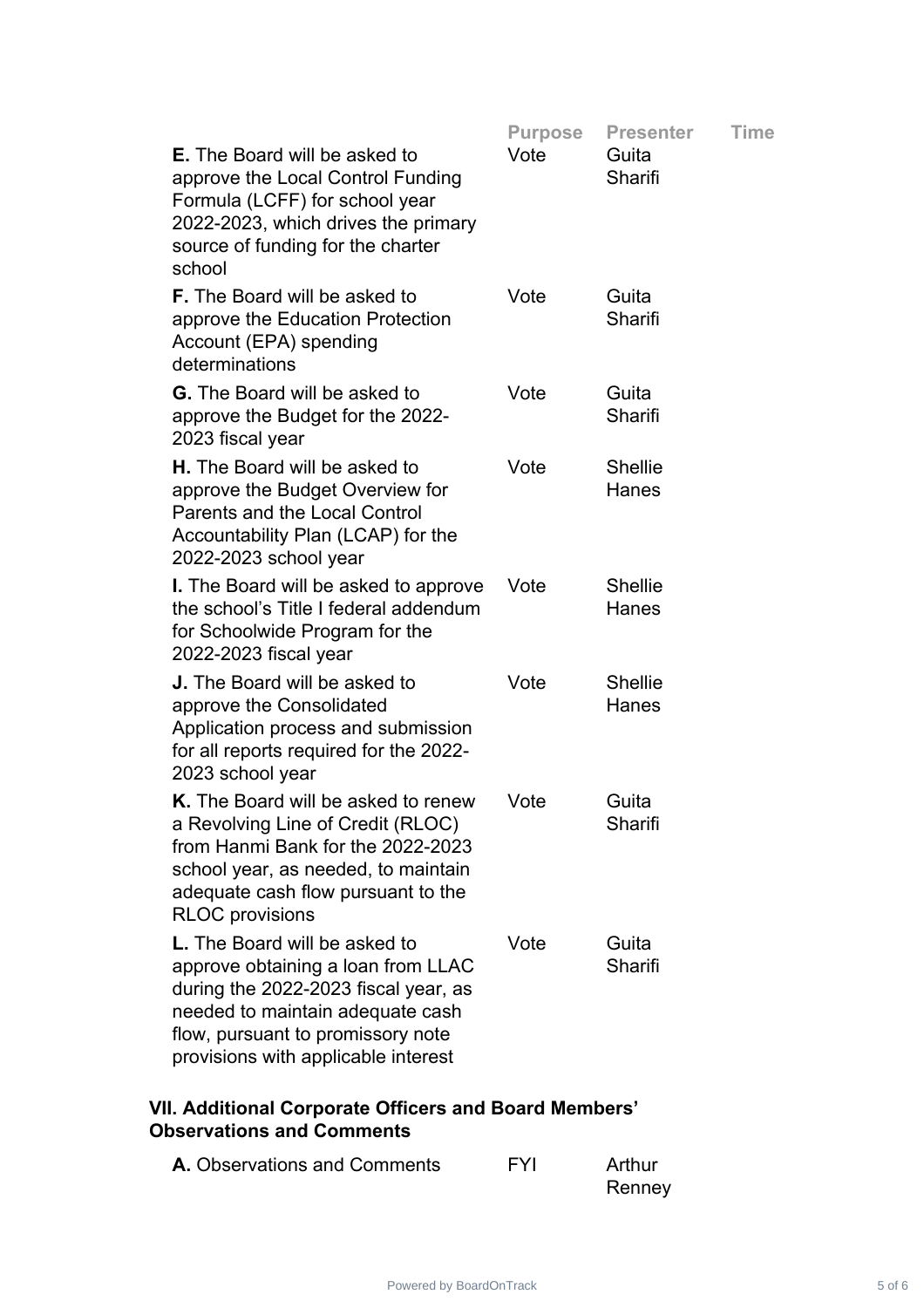|                                                                                                                                                                                                                             | <b>Purpose</b> | <b>Presenter</b>        | <b>Time</b> |
|-----------------------------------------------------------------------------------------------------------------------------------------------------------------------------------------------------------------------------|----------------|-------------------------|-------------|
| <b>E.</b> The Board will be asked to<br>approve the Local Control Funding<br>Formula (LCFF) for school year<br>2022-2023, which drives the primary<br>source of funding for the charter<br>school                           | Vote           | Guita<br>Sharifi        |             |
| <b>F.</b> The Board will be asked to<br>approve the Education Protection<br>Account (EPA) spending<br>determinations                                                                                                        | Vote           | Guita<br>Sharifi        |             |
| <b>G.</b> The Board will be asked to<br>approve the Budget for the 2022-<br>2023 fiscal year                                                                                                                                | Vote           | Guita<br>Sharifi        |             |
| <b>H.</b> The Board will be asked to<br>approve the Budget Overview for<br><b>Parents and the Local Control</b><br>Accountability Plan (LCAP) for the<br>2022-2023 school year                                              | Vote           | <b>Shellie</b><br>Hanes |             |
| <b>I.</b> The Board will be asked to approve<br>the school's Title I federal addendum<br>for Schoolwide Program for the<br>2022-2023 fiscal year                                                                            | Vote           | <b>Shellie</b><br>Hanes |             |
| <b>J.</b> The Board will be asked to<br>approve the Consolidated<br>Application process and submission<br>for all reports required for the 2022-<br>2023 school year                                                        | Vote           | <b>Shellie</b><br>Hanes |             |
| K. The Board will be asked to renew<br>a Revolving Line of Credit (RLOC)<br>from Hanmi Bank for the 2022-2023<br>school year, as needed, to maintain<br>adequate cash flow pursuant to the<br><b>RLOC</b> provisions        | Vote           | Guita<br>Sharifi        |             |
| L. The Board will be asked to<br>approve obtaining a loan from LLAC<br>during the 2022-2023 fiscal year, as<br>needed to maintain adequate cash<br>flow, pursuant to promissory note<br>provisions with applicable interest | Vote           | Guita<br>Sharifi        |             |

# **VII. Additional Corporate Officers and Board Members' Observations and Comments**

| <b>A.</b> Observations and Comments | <b>FYI</b> | Arthur |
|-------------------------------------|------------|--------|
|                                     |            | Renney |